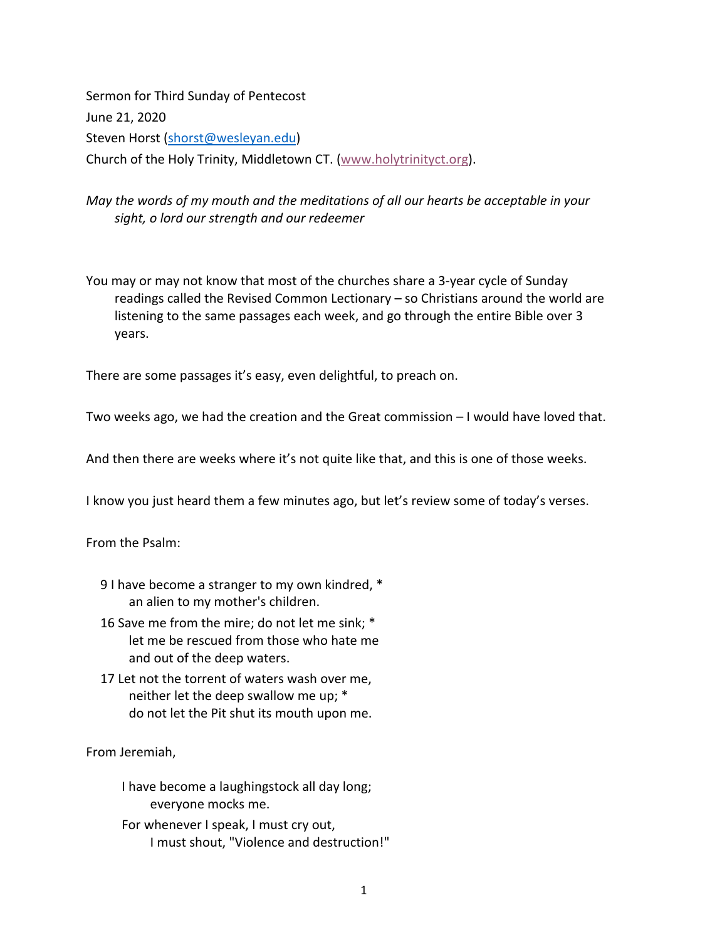Sermon for Third Sunday of Pentecost June 21, 2020 Steven Horst (shorst@wesleyan.edu) Church of the Holy Trinity, Middletown CT. (www.holytrinityct.org).

## *May the words of my mouth and the meditations of all our hearts be acceptable in your sight, o lord our strength and our redeemer*

You may or may not know that most of the churches share a 3-year cycle of Sunday readings called the Revised Common Lectionary – so Christians around the world are listening to the same passages each week, and go through the entire Bible over 3 years.

There are some passages it's easy, even delightful, to preach on.

Two weeks ago, we had the creation and the Great commission – I would have loved that.

And then there are weeks where it's not quite like that, and this is one of those weeks.

I know you just heard them a few minutes ago, but let's review some of today's verses.

From the Psalm:

- 9 I have become a stranger to my own kindred, \* an alien to my mother's children.
- 16 Save me from the mire; do not let me sink; \* let me be rescued from those who hate me and out of the deep waters.
- 17 Let not the torrent of waters wash over me, neither let the deep swallow me up; \* do not let the Pit shut its mouth upon me.

From Jeremiah,

I have become a laughingstock all day long; everyone mocks me.

For whenever I speak, I must cry out, I must shout, "Violence and destruction!"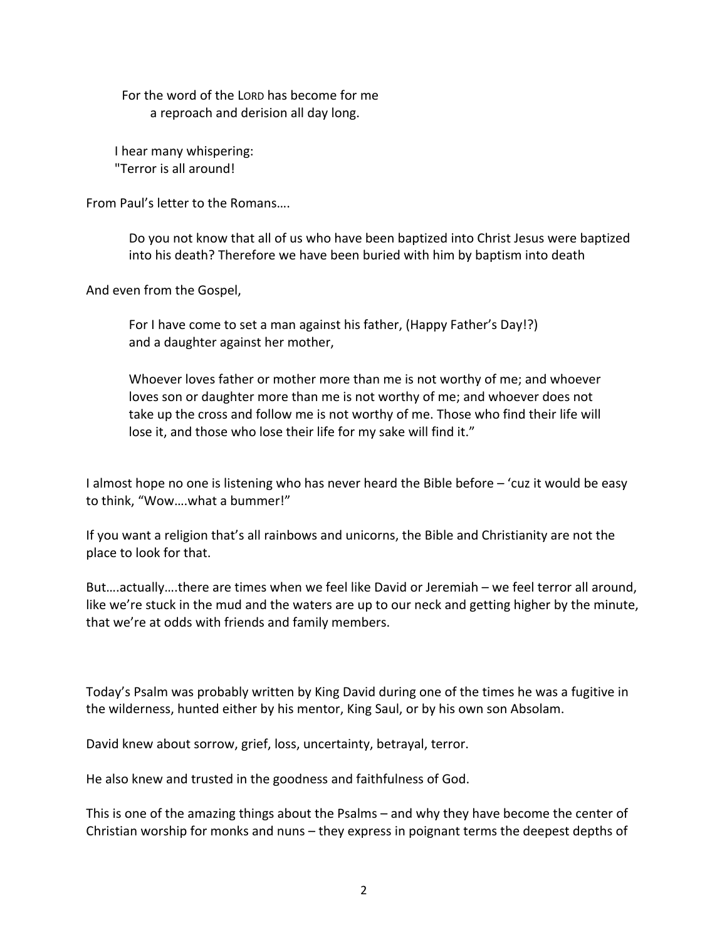For the word of the LORD has become for me a reproach and derision all day long.

I hear many whispering: "Terror is all around!

From Paul's letter to the Romans….

Do you not know that all of us who have been baptized into Christ Jesus were baptized into his death? Therefore we have been buried with him by baptism into death

And even from the Gospel,

For I have come to set a man against his father, (Happy Father's Day!?) and a daughter against her mother,

Whoever loves father or mother more than me is not worthy of me; and whoever loves son or daughter more than me is not worthy of me; and whoever does not take up the cross and follow me is not worthy of me. Those who find their life will lose it, and those who lose their life for my sake will find it."

I almost hope no one is listening who has never heard the Bible before – 'cuz it would be easy to think, "Wow….what a bummer!"

If you want a religion that's all rainbows and unicorns, the Bible and Christianity are not the place to look for that.

But….actually….there are times when we feel like David or Jeremiah – we feel terror all around, like we're stuck in the mud and the waters are up to our neck and getting higher by the minute, that we're at odds with friends and family members.

Today's Psalm was probably written by King David during one of the times he was a fugitive in the wilderness, hunted either by his mentor, King Saul, or by his own son Absolam.

David knew about sorrow, grief, loss, uncertainty, betrayal, terror.

He also knew and trusted in the goodness and faithfulness of God.

This is one of the amazing things about the Psalms – and why they have become the center of Christian worship for monks and nuns – they express in poignant terms the deepest depths of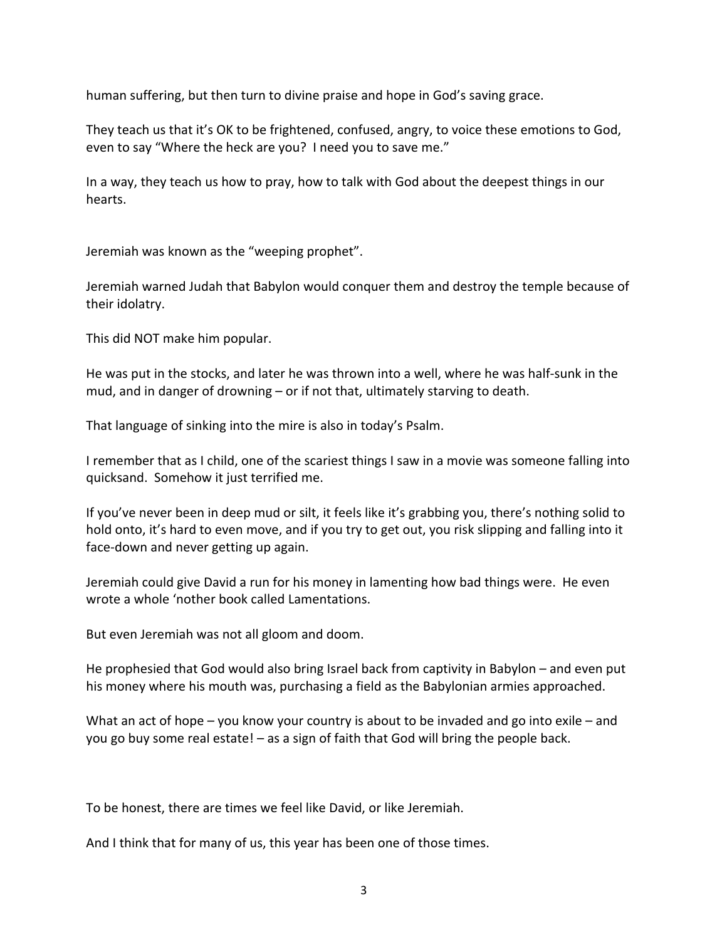human suffering, but then turn to divine praise and hope in God's saving grace.

They teach us that it's OK to be frightened, confused, angry, to voice these emotions to God, even to say "Where the heck are you? I need you to save me."

In a way, they teach us how to pray, how to talk with God about the deepest things in our hearts.

Jeremiah was known as the "weeping prophet".

Jeremiah warned Judah that Babylon would conquer them and destroy the temple because of their idolatry.

This did NOT make him popular.

He was put in the stocks, and later he was thrown into a well, where he was half-sunk in the mud, and in danger of drowning – or if not that, ultimately starving to death.

That language of sinking into the mire is also in today's Psalm.

I remember that as I child, one of the scariest things I saw in a movie was someone falling into quicksand. Somehow it just terrified me.

If you've never been in deep mud or silt, it feels like it's grabbing you, there's nothing solid to hold onto, it's hard to even move, and if you try to get out, you risk slipping and falling into it face-down and never getting up again.

Jeremiah could give David a run for his money in lamenting how bad things were. He even wrote a whole 'nother book called Lamentations.

But even Jeremiah was not all gloom and doom.

He prophesied that God would also bring Israel back from captivity in Babylon – and even put his money where his mouth was, purchasing a field as the Babylonian armies approached.

What an act of hope – you know your country is about to be invaded and go into exile – and you go buy some real estate! – as a sign of faith that God will bring the people back.

To be honest, there are times we feel like David, or like Jeremiah.

And I think that for many of us, this year has been one of those times.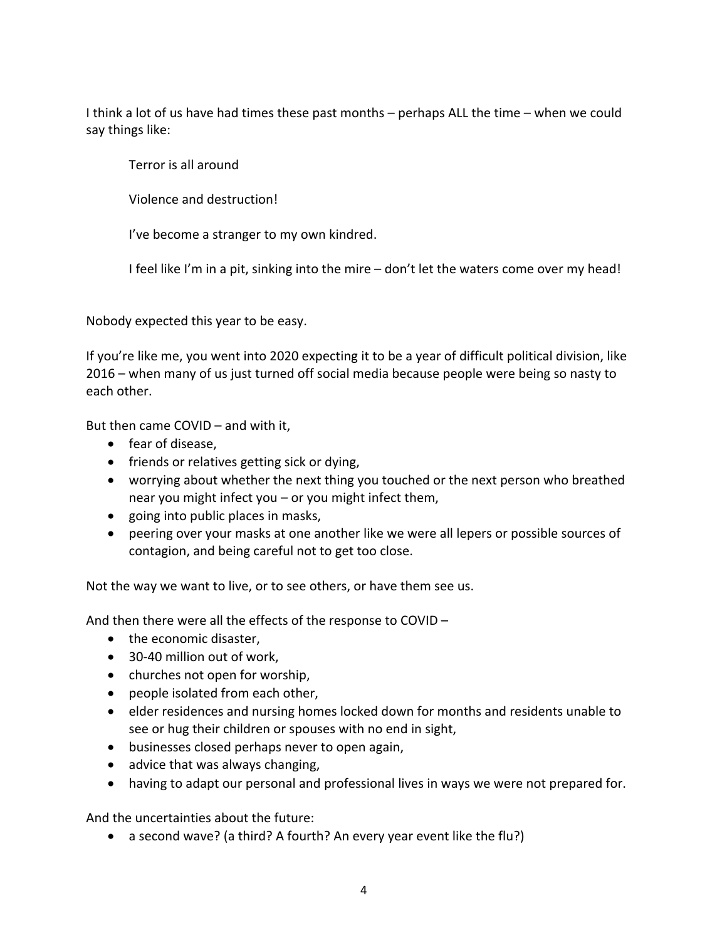I think a lot of us have had times these past months – perhaps ALL the time – when we could say things like:

Terror is all around

Violence and destruction!

I've become a stranger to my own kindred.

I feel like I'm in a pit, sinking into the mire – don't let the waters come over my head!

Nobody expected this year to be easy.

If you're like me, you went into 2020 expecting it to be a year of difficult political division, like 2016 – when many of us just turned off social media because people were being so nasty to each other.

But then came COVID – and with it,

- fear of disease,
- friends or relatives getting sick or dying,
- worrying about whether the next thing you touched or the next person who breathed near you might infect you – or you might infect them,
- going into public places in masks,
- peering over your masks at one another like we were all lepers or possible sources of contagion, and being careful not to get too close.

Not the way we want to live, or to see others, or have them see us.

And then there were all the effects of the response to COVID –

- the economic disaster,
- 30-40 million out of work,
- churches not open for worship,
- people isolated from each other,
- elder residences and nursing homes locked down for months and residents unable to see or hug their children or spouses with no end in sight,
- businesses closed perhaps never to open again,
- advice that was always changing,
- having to adapt our personal and professional lives in ways we were not prepared for.

And the uncertainties about the future:

• a second wave? (a third? A fourth? An every year event like the flu?)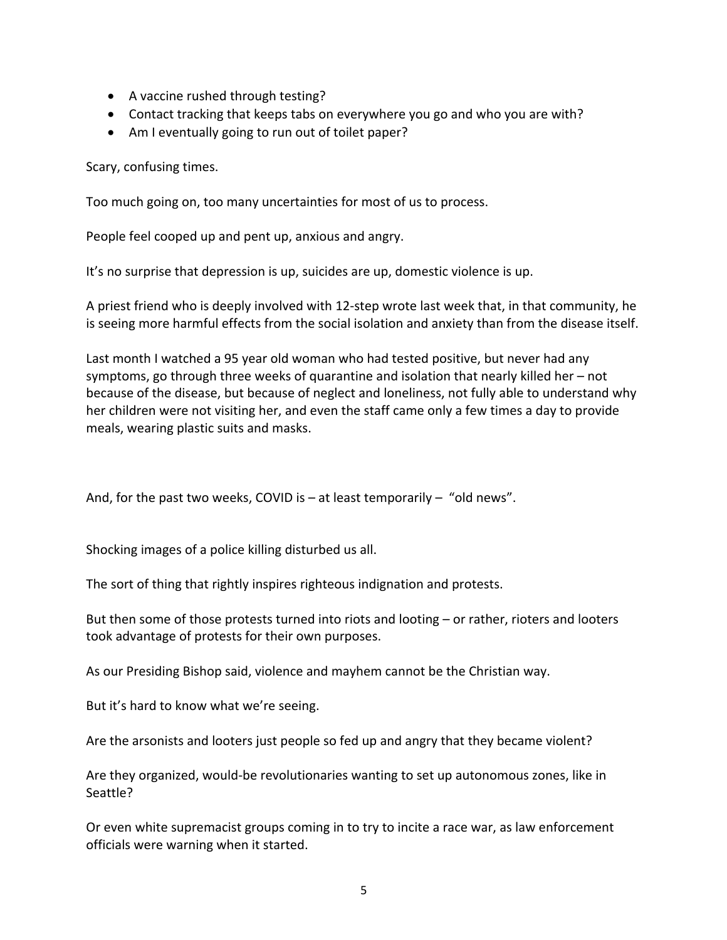- A vaccine rushed through testing?
- Contact tracking that keeps tabs on everywhere you go and who you are with?
- Am I eventually going to run out of toilet paper?

Scary, confusing times.

Too much going on, too many uncertainties for most of us to process.

People feel cooped up and pent up, anxious and angry.

It's no surprise that depression is up, suicides are up, domestic violence is up.

A priest friend who is deeply involved with 12-step wrote last week that, in that community, he is seeing more harmful effects from the social isolation and anxiety than from the disease itself.

Last month I watched a 95 year old woman who had tested positive, but never had any symptoms, go through three weeks of quarantine and isolation that nearly killed her – not because of the disease, but because of neglect and loneliness, not fully able to understand why her children were not visiting her, and even the staff came only a few times a day to provide meals, wearing plastic suits and masks.

And, for the past two weeks, COVID is  $-$  at least temporarily  $-$  "old news".

Shocking images of a police killing disturbed us all.

The sort of thing that rightly inspires righteous indignation and protests.

But then some of those protests turned into riots and looting – or rather, rioters and looters took advantage of protests for their own purposes.

As our Presiding Bishop said, violence and mayhem cannot be the Christian way.

But it's hard to know what we're seeing.

Are the arsonists and looters just people so fed up and angry that they became violent?

Are they organized, would-be revolutionaries wanting to set up autonomous zones, like in Seattle?

Or even white supremacist groups coming in to try to incite a race war, as law enforcement officials were warning when it started.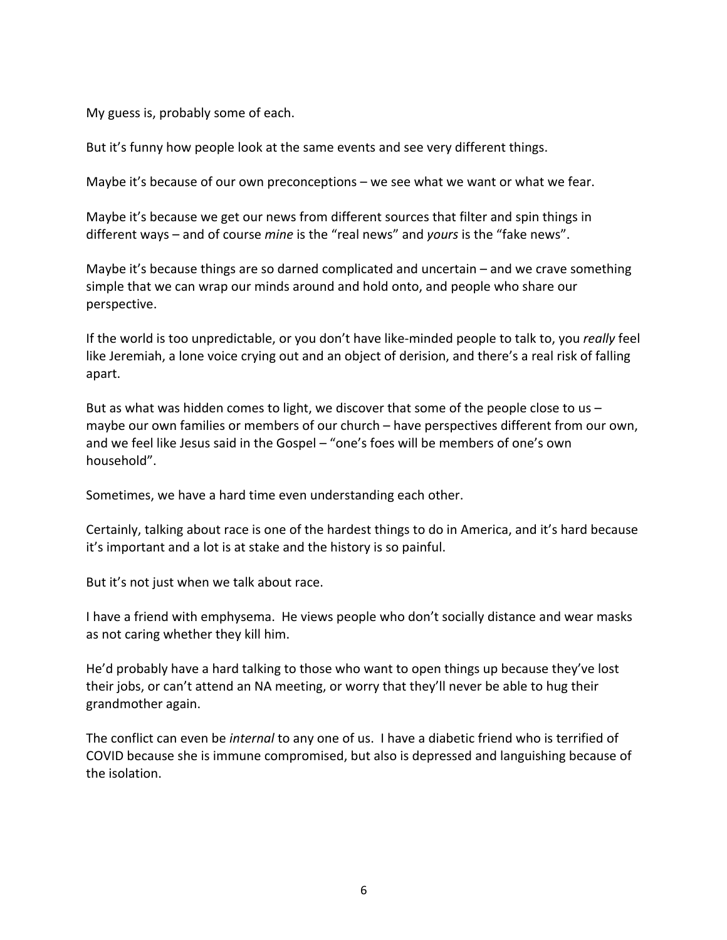My guess is, probably some of each.

But it's funny how people look at the same events and see very different things.

Maybe it's because of our own preconceptions – we see what we want or what we fear.

Maybe it's because we get our news from different sources that filter and spin things in different ways – and of course *mine* is the "real news" and *yours* is the "fake news".

Maybe it's because things are so darned complicated and uncertain – and we crave something simple that we can wrap our minds around and hold onto, and people who share our perspective.

If the world is too unpredictable, or you don't have like-minded people to talk to, you *really* feel like Jeremiah, a lone voice crying out and an object of derision, and there's a real risk of falling apart.

But as what was hidden comes to light, we discover that some of the people close to us  $$ maybe our own families or members of our church – have perspectives different from our own, and we feel like Jesus said in the Gospel – "one's foes will be members of one's own household".

Sometimes, we have a hard time even understanding each other.

Certainly, talking about race is one of the hardest things to do in America, and it's hard because it's important and a lot is at stake and the history is so painful.

But it's not just when we talk about race.

I have a friend with emphysema. He views people who don't socially distance and wear masks as not caring whether they kill him.

He'd probably have a hard talking to those who want to open things up because they've lost their jobs, or can't attend an NA meeting, or worry that they'll never be able to hug their grandmother again.

The conflict can even be *internal* to any one of us. I have a diabetic friend who is terrified of COVID because she is immune compromised, but also is depressed and languishing because of the isolation.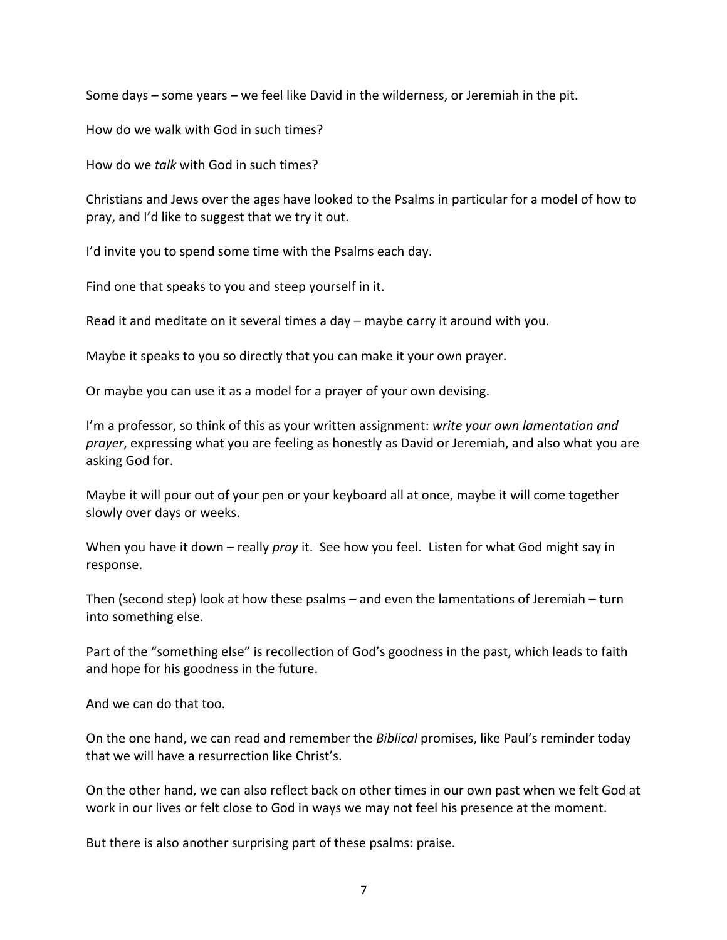Some days – some years – we feel like David in the wilderness, or Jeremiah in the pit.

How do we walk with God in such times?

How do we *talk* with God in such times?

Christians and Jews over the ages have looked to the Psalms in particular for a model of how to pray, and I'd like to suggest that we try it out.

I'd invite you to spend some time with the Psalms each day.

Find one that speaks to you and steep yourself in it.

Read it and meditate on it several times a day – maybe carry it around with you.

Maybe it speaks to you so directly that you can make it your own prayer.

Or maybe you can use it as a model for a prayer of your own devising.

I'm a professor, so think of this as your written assignment: *write your own lamentation and prayer*, expressing what you are feeling as honestly as David or Jeremiah, and also what you are asking God for.

Maybe it will pour out of your pen or your keyboard all at once, maybe it will come together slowly over days or weeks.

When you have it down – really *pray* it. See how you feel. Listen for what God might say in response.

Then (second step) look at how these psalms – and even the lamentations of Jeremiah – turn into something else.

Part of the "something else" is recollection of God's goodness in the past, which leads to faith and hope for his goodness in the future.

And we can do that too.

On the one hand, we can read and remember the *Biblical* promises, like Paul's reminder today that we will have a resurrection like Christ's.

On the other hand, we can also reflect back on other times in our own past when we felt God at work in our lives or felt close to God in ways we may not feel his presence at the moment.

But there is also another surprising part of these psalms: praise.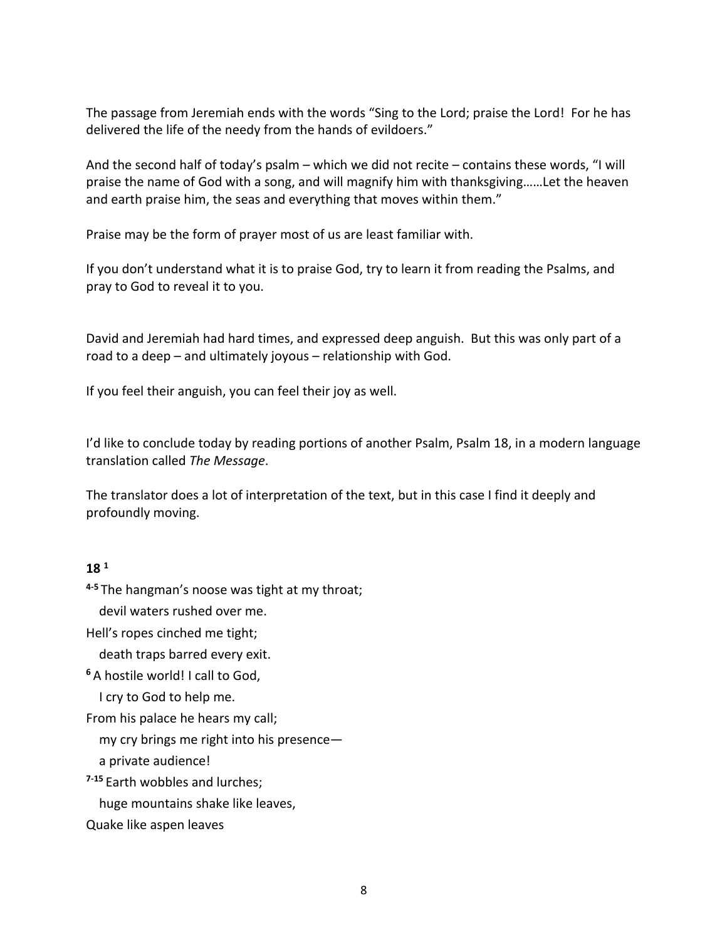The passage from Jeremiah ends with the words "Sing to the Lord; praise the Lord! For he has delivered the life of the needy from the hands of evildoers."

And the second half of today's psalm – which we did not recite – contains these words, "I will praise the name of God with a song, and will magnify him with thanksgiving……Let the heaven and earth praise him, the seas and everything that moves within them."

Praise may be the form of prayer most of us are least familiar with.

If you don't understand what it is to praise God, try to learn it from reading the Psalms, and pray to God to reveal it to you.

David and Jeremiah had hard times, and expressed deep anguish. But this was only part of a road to a deep – and ultimately joyous – relationship with God.

If you feel their anguish, you can feel their joy as well.

I'd like to conclude today by reading portions of another Psalm, Psalm 18, in a modern language translation called *The Message*.

The translator does a lot of interpretation of the text, but in this case I find it deeply and profoundly moving.

## **18 <sup>1</sup>**

**4-5** The hangman's noose was tight at my throat;

devil waters rushed over me.

Hell's ropes cinched me tight;

death traps barred every exit.

**<sup>6</sup>** A hostile world! I call to God,

I cry to God to help me.

From his palace he hears my call;

my cry brings me right into his presence—

a private audience!

**7-15** Earth wobbles and lurches;

huge mountains shake like leaves,

Quake like aspen leaves